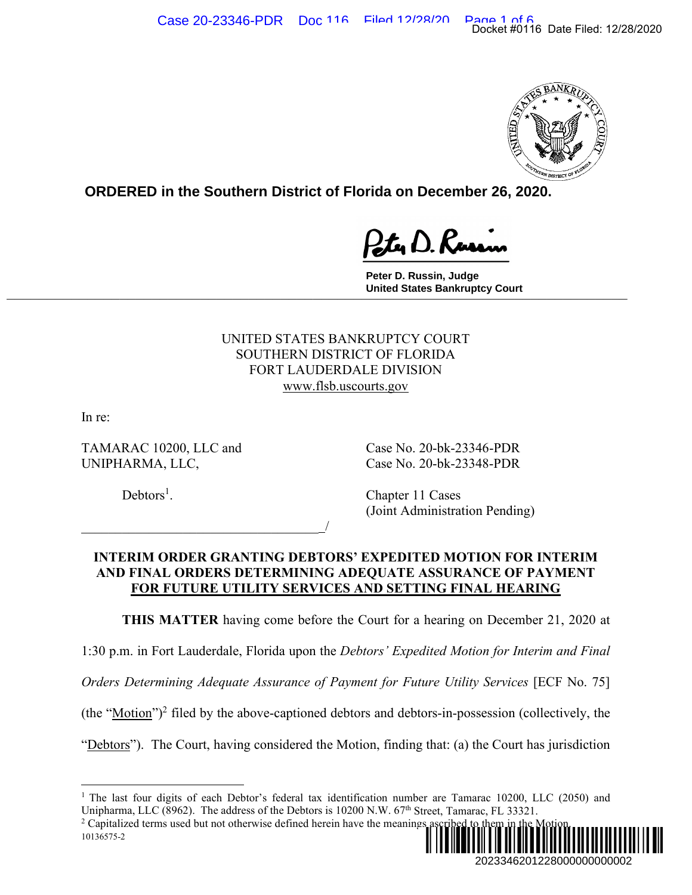

**ORDERED in the Southern District of Florida on December 26, 2020.**

**Peter D. Russin, Judge United States Bankruptcy Court \_\_\_\_\_\_\_\_\_\_\_\_\_\_\_\_\_\_\_\_\_\_\_\_\_\_\_\_\_\_\_\_\_\_\_\_\_\_\_\_\_\_\_\_\_\_\_\_\_\_\_\_\_\_\_\_\_\_\_\_\_\_\_\_\_\_\_\_\_\_\_\_\_\_\_\_\_**

## UNITED STATES BANKRUPTCY COURT SOUTHERN DISTRICT OF FLORIDA FORT LAUDERDALE DIVISION www.flsb.uscourts.gov

In re:

TAMARAC 10200, LLC and Case No. 20-bk-23346-PDR UNIPHARMA, LLC, Case No. 20-bk-23348-PDR

 $\overline{\phantom{a}}$ 

 $Debtors<sup>1</sup>$ .

. Chapter 11 Cases (Joint Administration Pending)

# **INTERIM ORDER GRANTING DEBTORS' EXPEDITED MOTION FOR INTERIM AND FINAL ORDERS DETERMINING ADEQUATE ASSURANCE OF PAYMENT FOR FUTURE UTILITY SERVICES AND SETTING FINAL HEARING**

**THIS MATTER** having come before the Court for a hearing on December 21, 2020 at

1:30 p.m. in Fort Lauderdale, Florida upon the *Debtors' Expedited Motion for Interim and Final* 

*Orders Determining Adequate Assurance of Payment for Future Utility Services* [ECF No. 75]

 $(the "Motion")^2$  filed by the above-captioned debtors and debtors-in-possession (collectively, the

"Debtors"). The Court, having considered the Motion, finding that: (a) the Court has jurisdiction

<sup>&</sup>lt;sup>1</sup> The last four digits of each Debtor's federal tax identification number are Tamarac 10200, LLC (2050) and Unipharma, LLC (8962). The address of the Debtors is 10200 N.W.  $67<sup>th</sup>$  Street, Tamarac, FL 33321.

<sup>10136575-2</sup>  <sup>2</sup> Capitalized terms used but not otherwise defined herein have the meanings as ¨2¤"AN4,< "\*«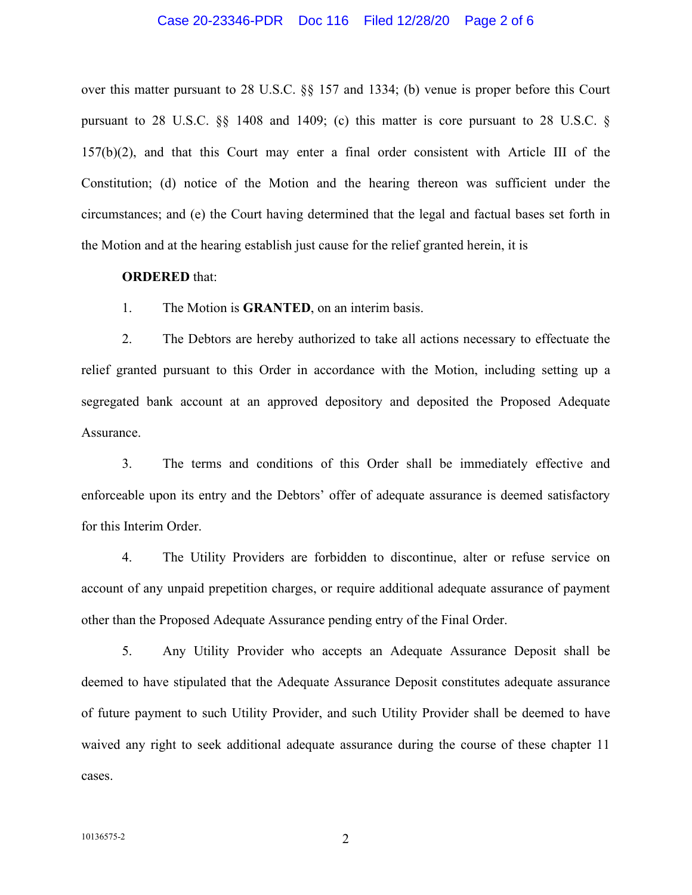#### Case 20-23346-PDR Doc 116 Filed 12/28/20 Page 2 of 6

over this matter pursuant to 28 U.S.C. §§ 157 and 1334; (b) venue is proper before this Court pursuant to 28 U.S.C. §§ 1408 and 1409; (c) this matter is core pursuant to 28 U.S.C. § 157(b)(2), and that this Court may enter a final order consistent with Article III of the Constitution; (d) notice of the Motion and the hearing thereon was sufficient under the circumstances; and (e) the Court having determined that the legal and factual bases set forth in the Motion and at the hearing establish just cause for the relief granted herein, it is

### **ORDERED** that:

1. The Motion is **GRANTED**, on an interim basis.

2. The Debtors are hereby authorized to take all actions necessary to effectuate the relief granted pursuant to this Order in accordance with the Motion, including setting up a segregated bank account at an approved depository and deposited the Proposed Adequate Assurance.

3. The terms and conditions of this Order shall be immediately effective and enforceable upon its entry and the Debtors' offer of adequate assurance is deemed satisfactory for this Interim Order.

4. The Utility Providers are forbidden to discontinue, alter or refuse service on account of any unpaid prepetition charges, or require additional adequate assurance of payment other than the Proposed Adequate Assurance pending entry of the Final Order.

5. Any Utility Provider who accepts an Adequate Assurance Deposit shall be deemed to have stipulated that the Adequate Assurance Deposit constitutes adequate assurance of future payment to such Utility Provider, and such Utility Provider shall be deemed to have waived any right to seek additional adequate assurance during the course of these chapter 11 cases.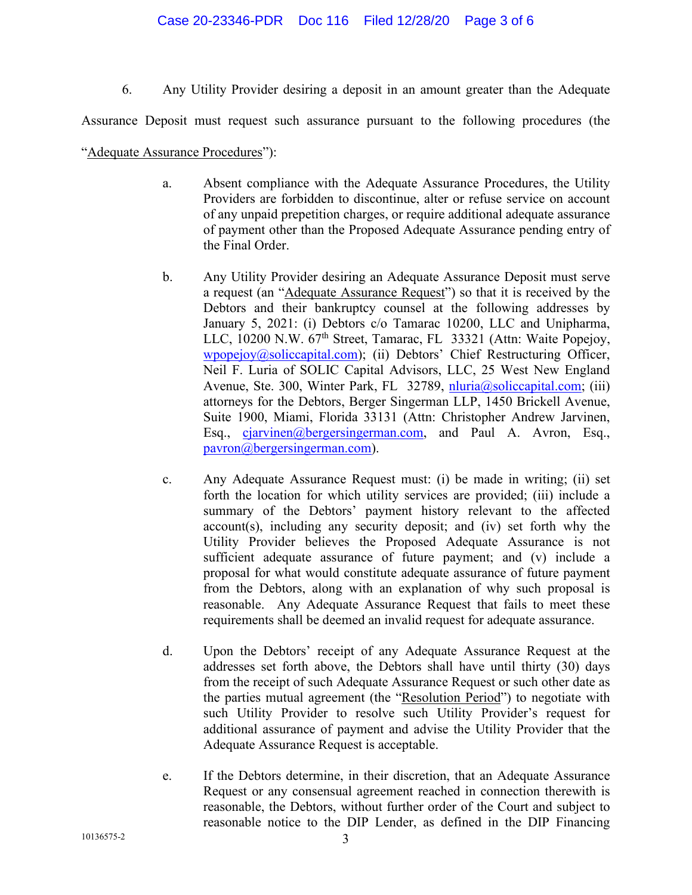### Case 20-23346-PDR Doc 116 Filed 12/28/20 Page 3 of 6

6. Any Utility Provider desiring a deposit in an amount greater than the Adequate

Assurance Deposit must request such assurance pursuant to the following procedures (the

### "Adequate Assurance Procedures"):

- a. Absent compliance with the Adequate Assurance Procedures, the Utility Providers are forbidden to discontinue, alter or refuse service on account of any unpaid prepetition charges, or require additional adequate assurance of payment other than the Proposed Adequate Assurance pending entry of the Final Order.
- b. Any Utility Provider desiring an Adequate Assurance Deposit must serve a request (an "Adequate Assurance Request") so that it is received by the Debtors and their bankruptcy counsel at the following addresses by January 5, 2021: (i) Debtors c/o Tamarac 10200, LLC and Unipharma, LLC, 10200 N.W.  $67<sup>th</sup>$  Street, Tamarac, FL 33321 (Attn: Waite Popejoy, wpopejoy@soliccapital.com); (ii) Debtors' Chief Restructuring Officer, Neil F. Luria of SOLIC Capital Advisors, LLC, 25 West New England Avenue, Ste. 300, Winter Park, FL 32789, nluria@soliccapital.com; (iii) attorneys for the Debtors, Berger Singerman LLP, 1450 Brickell Avenue, Suite 1900, Miami, Florida 33131 (Attn: Christopher Andrew Jarvinen, Esq., cjarvinen@bergersingerman.com, and Paul A. Avron, Esq., pavron@bergersingerman.com).
- c. Any Adequate Assurance Request must: (i) be made in writing; (ii) set forth the location for which utility services are provided; (iii) include a summary of the Debtors' payment history relevant to the affected account(s), including any security deposit; and (iv) set forth why the Utility Provider believes the Proposed Adequate Assurance is not sufficient adequate assurance of future payment; and (v) include a proposal for what would constitute adequate assurance of future payment from the Debtors, along with an explanation of why such proposal is reasonable. Any Adequate Assurance Request that fails to meet these requirements shall be deemed an invalid request for adequate assurance.
- d. Upon the Debtors' receipt of any Adequate Assurance Request at the addresses set forth above, the Debtors shall have until thirty (30) days from the receipt of such Adequate Assurance Request or such other date as the parties mutual agreement (the "Resolution Period") to negotiate with such Utility Provider to resolve such Utility Provider's request for additional assurance of payment and advise the Utility Provider that the Adequate Assurance Request is acceptable.
- e. If the Debtors determine, in their discretion, that an Adequate Assurance Request or any consensual agreement reached in connection therewith is reasonable, the Debtors, without further order of the Court and subject to reasonable notice to the DIP Lender, as defined in the DIP Financing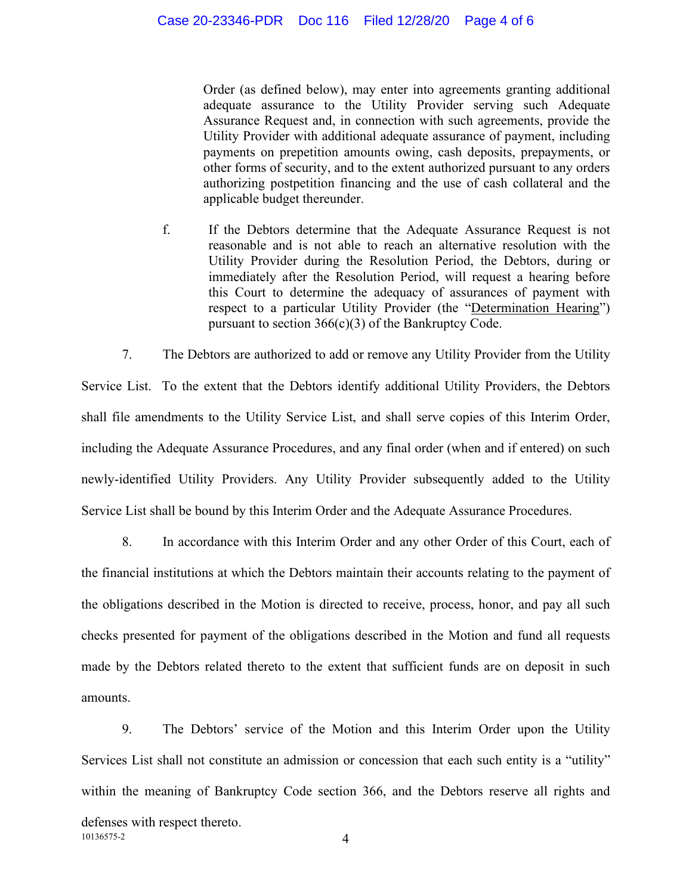Order (as defined below), may enter into agreements granting additional adequate assurance to the Utility Provider serving such Adequate Assurance Request and, in connection with such agreements, provide the Utility Provider with additional adequate assurance of payment, including payments on prepetition amounts owing, cash deposits, prepayments, or other forms of security, and to the extent authorized pursuant to any orders authorizing postpetition financing and the use of cash collateral and the applicable budget thereunder.

f. If the Debtors determine that the Adequate Assurance Request is not reasonable and is not able to reach an alternative resolution with the Utility Provider during the Resolution Period, the Debtors, during or immediately after the Resolution Period, will request a hearing before this Court to determine the adequacy of assurances of payment with respect to a particular Utility Provider (the "Determination Hearing") pursuant to section  $366(c)(3)$  of the Bankruptcy Code.

7. The Debtors are authorized to add or remove any Utility Provider from the Utility Service List. To the extent that the Debtors identify additional Utility Providers, the Debtors shall file amendments to the Utility Service List, and shall serve copies of this Interim Order, including the Adequate Assurance Procedures, and any final order (when and if entered) on such newly-identified Utility Providers. Any Utility Provider subsequently added to the Utility Service List shall be bound by this Interim Order and the Adequate Assurance Procedures.

8. In accordance with this Interim Order and any other Order of this Court, each of the financial institutions at which the Debtors maintain their accounts relating to the payment of the obligations described in the Motion is directed to receive, process, honor, and pay all such checks presented for payment of the obligations described in the Motion and fund all requests made by the Debtors related thereto to the extent that sufficient funds are on deposit in such amounts.

10136575-2 4 9. The Debtors' service of the Motion and this Interim Order upon the Utility Services List shall not constitute an admission or concession that each such entity is a "utility" within the meaning of Bankruptcy Code section 366, and the Debtors reserve all rights and defenses with respect thereto.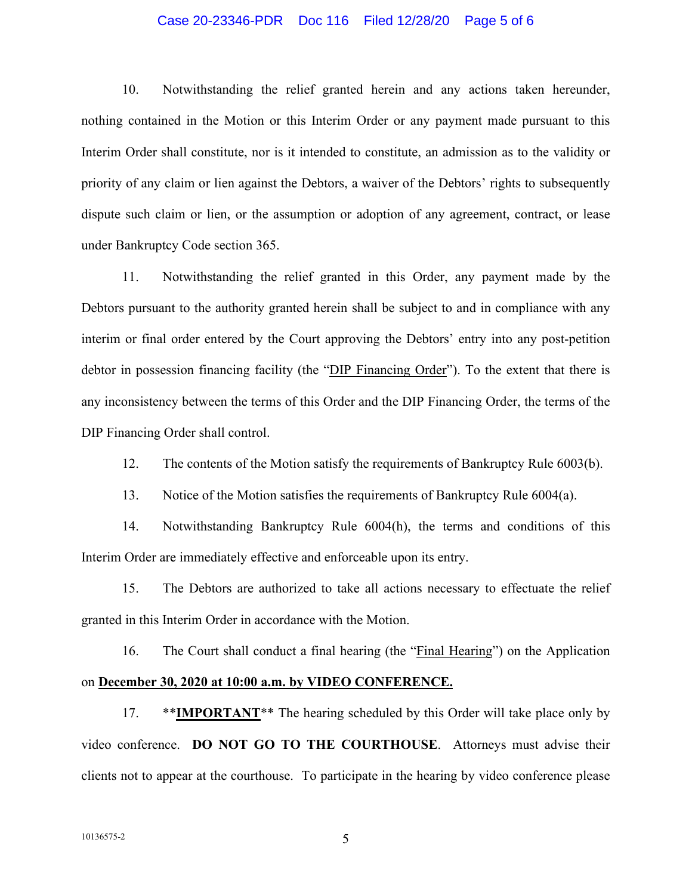#### Case 20-23346-PDR Doc 116 Filed 12/28/20 Page 5 of 6

10. Notwithstanding the relief granted herein and any actions taken hereunder, nothing contained in the Motion or this Interim Order or any payment made pursuant to this Interim Order shall constitute, nor is it intended to constitute, an admission as to the validity or priority of any claim or lien against the Debtors, a waiver of the Debtors' rights to subsequently dispute such claim or lien, or the assumption or adoption of any agreement, contract, or lease under Bankruptcy Code section 365.

11. Notwithstanding the relief granted in this Order, any payment made by the Debtors pursuant to the authority granted herein shall be subject to and in compliance with any interim or final order entered by the Court approving the Debtors' entry into any post-petition debtor in possession financing facility (the "DIP Financing Order"). To the extent that there is any inconsistency between the terms of this Order and the DIP Financing Order, the terms of the DIP Financing Order shall control.

12. The contents of the Motion satisfy the requirements of Bankruptcy Rule 6003(b).

13. Notice of the Motion satisfies the requirements of Bankruptcy Rule 6004(a).

14. Notwithstanding Bankruptcy Rule 6004(h), the terms and conditions of this Interim Order are immediately effective and enforceable upon its entry.

15. The Debtors are authorized to take all actions necessary to effectuate the relief granted in this Interim Order in accordance with the Motion.

16. The Court shall conduct a final hearing (the "Final Hearing") on the Application on **December 30, 2020 at 10:00 a.m. by VIDEO CONFERENCE.** 

17. \*\*IMPORTANT<sup>\*\*</sup> The hearing scheduled by this Order will take place only by video conference. **DO NOT GO TO THE COURTHOUSE**. Attorneys must advise their clients not to appear at the courthouse. To participate in the hearing by video conference please